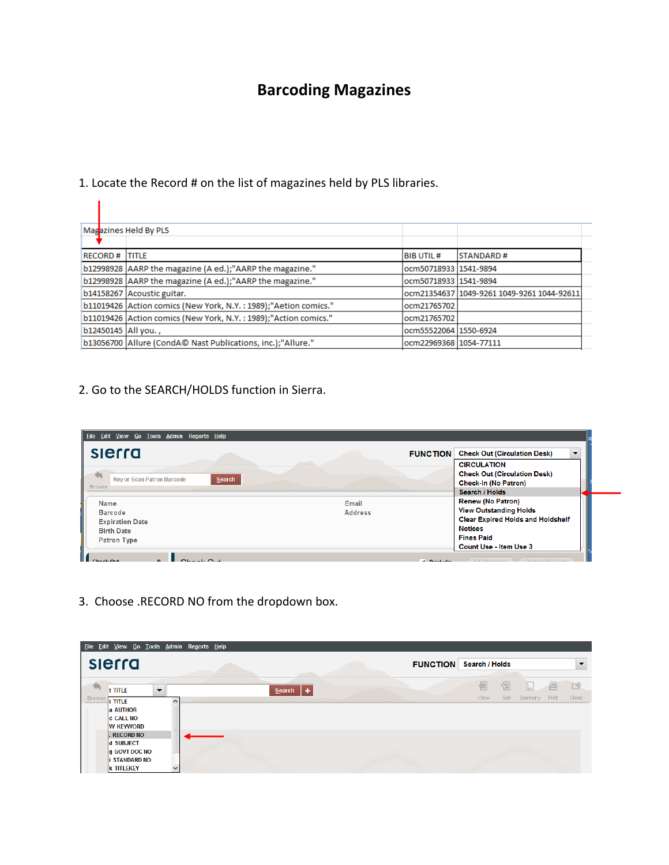## **Barcoding Magazines**

## 1. Locate the Record # on the list of magazines held by PLS libraries.

|                       | Magazines Held By PLS                                           |                        |                                            |
|-----------------------|-----------------------------------------------------------------|------------------------|--------------------------------------------|
|                       |                                                                 |                        |                                            |
| <b>RECORD# ITITLE</b> |                                                                 | <b>BIB UTIL#</b>       | <b>STANDARD#</b>                           |
|                       | b12998928 AARP the magazine (A ed.);"AARP the magazine."        | ocm50718933 1541-9894  |                                            |
|                       | b12998928 AARP the magazine (A ed.);"AARP the magazine."        | ocm50718933 1541-9894  |                                            |
|                       | b14158267 Acoustic guitar.                                      |                        | ocm21354637 1049-9261 1049-9261 1044-92611 |
|                       | b11019426 Action comics (New York, N.Y.: 1989);"Aetion comics." | ocm21765702            |                                            |
|                       | b11019426 Action comics (New York, N.Y.: 1989);"Action comics." | ocm21765702            |                                            |
| b12450145   All you., |                                                                 | ocm55522064 1550-6924  |                                            |
|                       | b13056700 Allure (CondAC Nast Publications, inc.);"Allure."     | ocm22969368 1054-77111 |                                            |

#### 2. Go to the SEARCH/HOLDS function in Sierra.

| slerra                                                | <b>FUNCTION</b>  | <b>Check Out (Circulation Desk)</b>                                                                                     |
|-------------------------------------------------------|------------------|-------------------------------------------------------------------------------------------------------------------------|
| Key or Scan Patron Barcode<br>Search<br><b>Browse</b> |                  | <b>CIRCULATION</b><br><b>Check Out (Circulation Desk)</b><br><b>Check-In (No Patron)</b><br>Search / Holds              |
| Name<br><b>Barcode</b><br><b>Expiration Date</b>      | Email<br>Address | <b>Renew (No Patron)</b><br><b>View Outstanding Holds</b><br><b>Clear Expired Holds and Holdshelf</b><br><b>Notices</b> |
| <b>Birth Date</b><br>Patron Type                      |                  | <b>Fines Paid</b><br>Count Use - Item Use 3                                                                             |

3. Choose .RECORD NO from the dropdown box.

|                | Eile Edit View Go Tools Admin Reports Help                                                              |                          |  |               |  |                                |   |                   |                           |            |            |
|----------------|---------------------------------------------------------------------------------------------------------|--------------------------|--|---------------|--|--------------------------------|---|-------------------|---------------------------|------------|------------|
| slerra         |                                                                                                         |                          |  |               |  | <b>FUNCTION</b> Search / Holds |   |                   |                           |            |            |
| Browse t TITLE | t TITLE<br>a AUTHOR<br><b>c</b> CALL NO<br><b>W KEYWORD</b>                                             | $\overline{\phantom{a}}$ |  | l +<br>Search |  |                                | 접 | 图<br>View<br>Edit | $\vert  \vert$<br>Summary | 昌<br>Print | P<br>Close |
|                | <b>RECORD NO</b><br><b>d</b> SUBJECT<br><b>Q</b> GOVT DOC NO<br><b>STANDARD NO</b><br><b>k TITLEKEY</b> |                          |  |               |  |                                |   |                   |                           |            |            |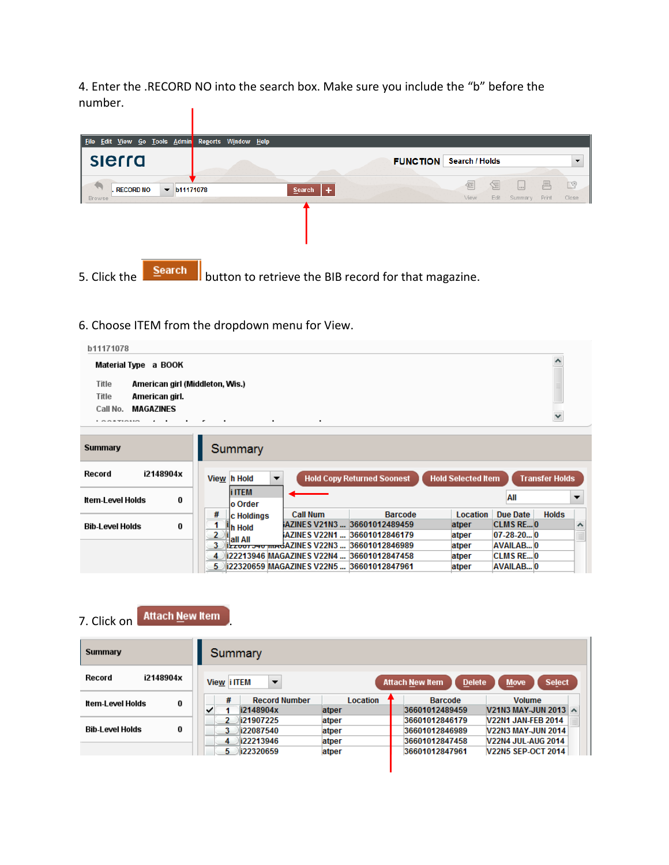4. Enter the .RECORD NO into the search box. Make sure you include the "b" before the number.

| Edit View Go Tools Admin<br><b>File</b>                        | Reports Window Help |                                                                                      |
|----------------------------------------------------------------|---------------------|--------------------------------------------------------------------------------------|
| slerra                                                         |                     | Search / Holds<br><b>FUNCTION</b>                                                    |
| . RECORD NO<br>$\blacktriangledown$ b11171078<br><b>Browse</b> | ÷<br>Search         | $\Box$<br>絙<br>唇<br>F<br>$\vert  \vert$<br>View<br>Edit<br>Print<br>Summary<br>Close |
|                                                                |                     |                                                                                      |
|                                                                |                     |                                                                                      |
| <b>Search</b><br>5. Click the                                  |                     | button to retrieve the BIB record for that magazine.                                 |

#### 6. Choose ITEM from the dropdown menu for View.



| минитату                    | <b>Summary</b>                                                                                                              |                                                                          |  |  |  |  |
|-----------------------------|-----------------------------------------------------------------------------------------------------------------------------|--------------------------------------------------------------------------|--|--|--|--|
| i2148904x<br>Record         | <b>Hold Selected Item</b><br><b>Transfer Holds</b><br><b>Hold Copy Returned Soonest</b><br>View h Hold<br>▼                 |                                                                          |  |  |  |  |
| Item-Level Holds<br>0       | <b>i</b> ITEM<br>lo Order                                                                                                   | All                                                                      |  |  |  |  |
| <b>Bib-Level Holds</b><br>0 | #<br><b>Call Num</b><br><b>Barcode</b><br>Location<br><b>C</b> Holdings<br>AZINES V21N3  36601012489459<br>atper<br>山h Hold | <b>Holds</b><br>Due Date<br><b>CLMS RE0</b><br>$\boldsymbol{\mathsf{A}}$ |  |  |  |  |
|                             | AZINES V22N1<br>36601012846179<br>atper<br>Hall All<br>Izzuoi 240 madAZINES V22N3<br>3<br>36601012846989<br>atper           | $07-28-20$ <sub>0</sub><br>$\equiv$<br>AVAILAB 0                         |  |  |  |  |
|                             | 4 22213946 MAGAZINES V22N4  36601012847458<br>atper<br>5 22320659 MAGAZINES V22N5  36601012847961<br>atper                  | <b>CLMS REO</b><br><b>AVAILAB 0</b>                                      |  |  |  |  |
|                             |                                                                                                                             |                                                                          |  |  |  |  |

# 7. Click on **Attach New Item**

| Summary                     | Summary                                 |                          |                                                    |                                                                                     |
|-----------------------------|-----------------------------------------|--------------------------|----------------------------------------------------|-------------------------------------------------------------------------------------|
| i2148904x<br>Record         | View i ITEM<br>$\overline{\phantom{a}}$ |                          | <b>Delete</b><br><b>Attach New Item</b>            | <b>Select</b><br><b>Move</b>                                                        |
| 0<br>Item-Level Holds       | #<br><b>Record Number</b><br>i2148904x  | <b>Location</b><br>atper | <b>Barcode</b><br>36601012489459                   | <b>Volume</b><br>V21N3 MAY-JUN 2013 A                                               |
| 0<br><b>Bib-Level Holds</b> | i21907225<br>i22087540<br>i22213946     | atper<br>atper           | 36601012846179<br>36601012846989<br>36601012847458 | <b>V22N1 JAN-FEB 2014</b><br><b>V22N3 MAY-JUN 2014</b><br><b>V22N4 JUL-AUG 2014</b> |
|                             | 4<br>i22320659<br>5.                    | atper<br>atper           | 36601012847961                                     | <b>V22N5 SEP-OCT 2014</b>                                                           |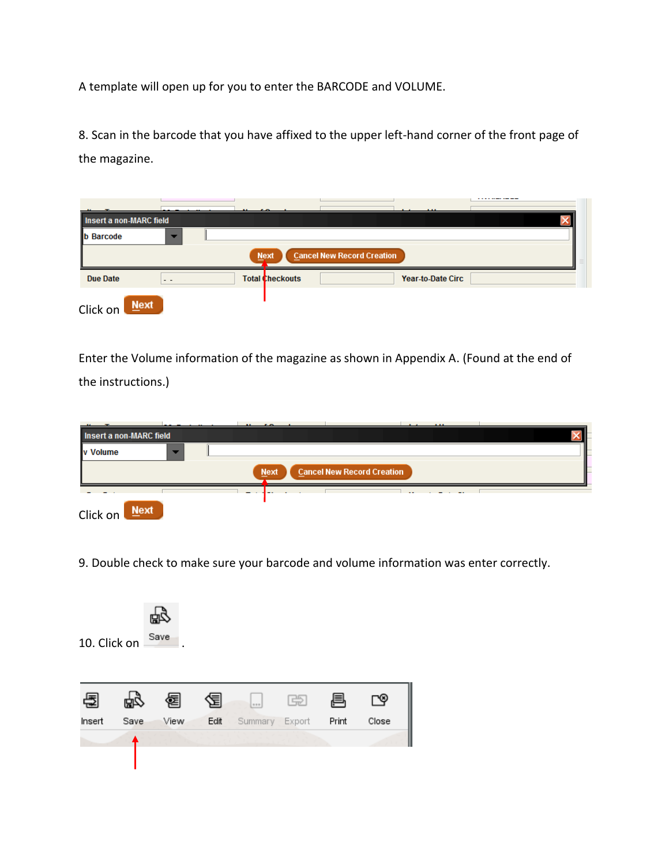A template will open up for you to enter the BARCODE and VOLUME.

8. Scan in the barcode that you have affixed to the upper left-hand corner of the front page of the magazine.

|                                                  |        |                        |  |  | .                        | ----------- |  |  |  |
|--------------------------------------------------|--------|------------------------|--|--|--------------------------|-------------|--|--|--|
| Insert a non-MARC field                          |        |                        |  |  |                          |             |  |  |  |
| <b>b</b> Barcode                                 |        |                        |  |  |                          |             |  |  |  |
| <b>Cancel New Record Creation</b><br><b>Next</b> |        |                        |  |  |                          |             |  |  |  |
| <b>Due Date</b>                                  | $ -$   | <b>Total Checkouts</b> |  |  | <b>Year-to-Date Circ</b> |             |  |  |  |
| Click on                                         | $Next$ |                        |  |  |                          |             |  |  |  |

Enter the Volume information of the magazine as shown in Appendix A. (Found at the end of the instructions.)

| Insert a non-MARC field                          |  |  |  |  |  | 1.11 |  |  |  |  |
|--------------------------------------------------|--|--|--|--|--|------|--|--|--|--|
| v Volume<br>▼                                    |  |  |  |  |  |      |  |  |  |  |
| <b>Cancel New Record Creation</b><br><b>Next</b> |  |  |  |  |  |      |  |  |  |  |
| Mext<br>Click on                                 |  |  |  |  |  |      |  |  |  |  |

9. Double check to make sure your barcode and volume information was enter correctly.